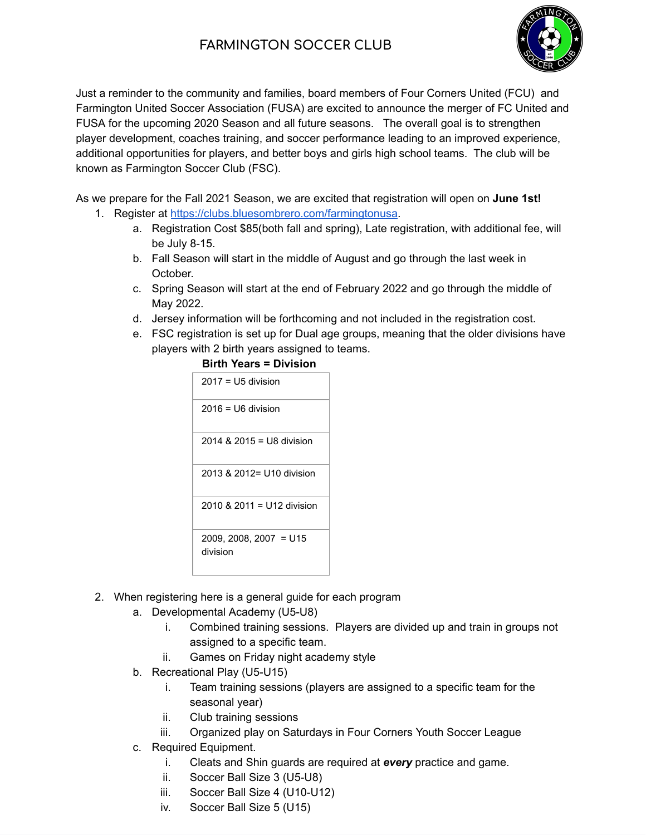## **FARMINGTON SOCCER CLUB**



Just a reminder to the community and families, board members of Four Corners United (FCU) and Farmington United Soccer Association (FUSA) are excited to announce the merger of FC United and FUSA for the upcoming 2020 Season and all future seasons. The overall goal is to strengthen player development, coaches training, and soccer performance leading to an improved experience, additional opportunities for players, and better boys and girls high school teams. The club will be known as Farmington Soccer Club (FSC).

As we prepare for the Fall 2021 Season, we are excited that registration will open on **June 1st!** 

- 1. Register at<https://clubs.bluesombrero.com/farmingtonusa>.
	- a. Registration Cost \$85(both fall and spring), Late registration, with additional fee, will be July 8-15.
	- b. Fall Season will start in the middle of August and go through the last week in October.
	- c. Spring Season will start at the end of February 2022 and go through the middle of May 2022.
	- d. Jersey information will be forthcoming and not included in the registration cost.
	- e. FSC registration is set up for Dual age groups, meaning that the older divisions have players with 2 birth years assigned to teams.

| Birth Years = Division             |
|------------------------------------|
| $2017 = U5$ division               |
| $2016 = 116$ division              |
| 2014 & 2015 = U8 division          |
| 2013 & 2012= U10 division          |
| 2010 & 2011 = U12 division         |
| 2009, 2008, 2007 = U15<br>division |

## **Birth Years = Division**

- 2. When registering here is a general guide for each program
	- a. Developmental Academy (U5-U8)
		- i. Combined training sessions. Players are divided up and train in groups not assigned to a specific team.
		- ii. Games on Friday night academy style
	- b. Recreational Play (U5-U15)
		- i. Team training sessions (players are assigned to a specific team for the seasonal year)
		- ii. Club training sessions
		- iii. Organized play on Saturdays in Four Corners Youth Soccer League
	- c. Required Equipment.
		- i. Cleats and Shin guards are required at *every* practice and game.
		- ii. Soccer Ball Size 3 (U5-U8)
		- iii. Soccer Ball Size 4 (U10-U12)
		- iv. Soccer Ball Size 5 (U15)